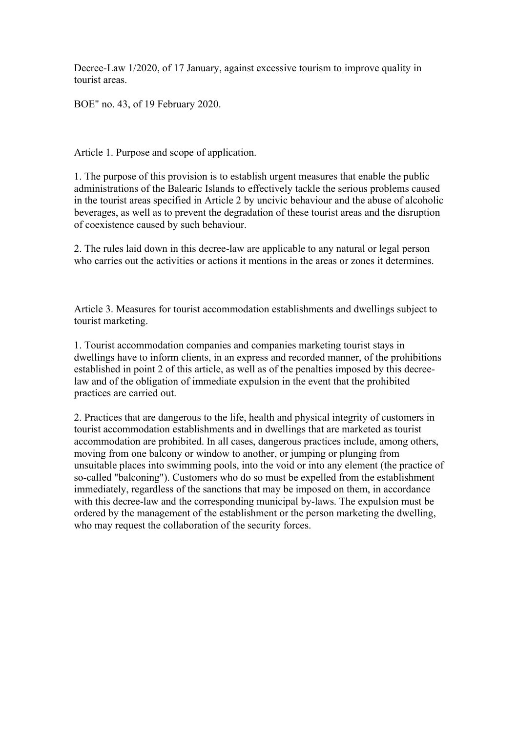Decree-Law 1/2020, of 17 January, against excessive tourism to improve quality in tourist areas.

BOE" no. 43, of 19 February 2020.

Article 1. Purpose and scope of application.

1. The purpose of this provision is to establish urgent measures that enable the public administrations of the Balearic Islands to effectively tackle the serious problems caused in the tourist areas specified in Article 2 by uncivic behaviour and the abuse of alcoholic beverages, as well as to prevent the degradation of these tourist areas and the disruption of coexistence caused by such behaviour.

2. The rules laid down in this decree-law are applicable to any natural or legal person who carries out the activities or actions it mentions in the areas or zones it determines.

Article 3. Measures for tourist accommodation establishments and dwellings subject to tourist marketing.

1. Tourist accommodation companies and companies marketing tourist stays in dwellings have to inform clients, in an express and recorded manner, of the prohibitions established in point 2 of this article, as well as of the penalties imposed by this decreelaw and of the obligation of immediate expulsion in the event that the prohibited practices are carried out.

2. Practices that are dangerous to the life, health and physical integrity of customers in tourist accommodation establishments and in dwellings that are marketed as tourist accommodation are prohibited. In all cases, dangerous practices include, among others, moving from one balcony or window to another, or jumping or plunging from unsuitable places into swimming pools, into the void or into any element (the practice of so-called "balconing"). Customers who do so must be expelled from the establishment immediately, regardless of the sanctions that may be imposed on them, in accordance with this decree-law and the corresponding municipal by-laws. The expulsion must be ordered by the management of the establishment or the person marketing the dwelling, who may request the collaboration of the security forces.